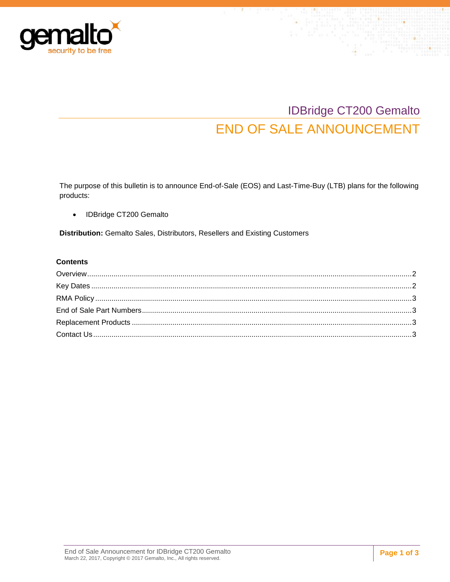

# IDBridge CT200 Gemalto END OF SALE ANNOUNCEMENT

The purpose of this bulletin is to announce End-of-Sale (EOS) and Last-Time-Buy (LTB) plans for the following products:

• IDBridge CT200 Gemalto

**Distribution:** Gemalto Sales, Distributors, Resellers and Existing Customers

#### **Contents**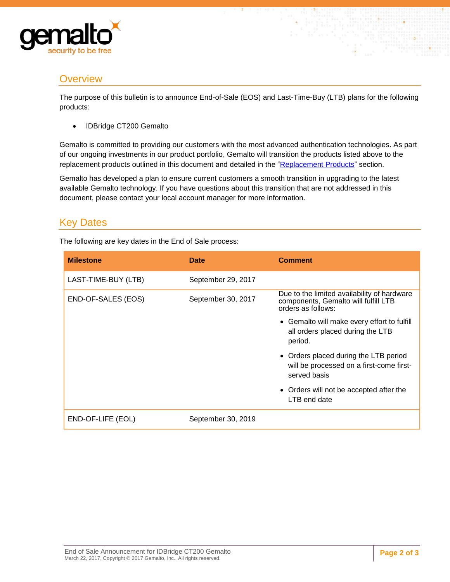

# <span id="page-1-0"></span>**Overview**

The purpose of this bulletin is to announce End-of-Sale (EOS) and Last-Time-Buy (LTB) plans for the following products:

• IDBridge CT200 Gemalto

Gemalto is committed to providing our customers with the most advanced authentication technologies. As part of our ongoing investments in our product portfolio, Gemalto will transition the products listed above to the replacement products outlined in this document and detailed in the ["Replacement Products"](#page-2-2) section.

Gemalto has developed a plan to ensure current customers a smooth transition in upgrading to the latest available Gemalto technology. If you have questions about this transition that are not addressed in this document, please contact your local account manager for more information.

### <span id="page-1-1"></span>Key Dates

The following are key dates in the End of Sale process:

| <b>Milestone</b>    | Date               | <b>Comment</b>                                                                                            |
|---------------------|--------------------|-----------------------------------------------------------------------------------------------------------|
| LAST-TIME-BUY (LTB) | September 29, 2017 |                                                                                                           |
| END-OF-SALES (EOS)  | September 30, 2017 | Due to the limited availability of hardware<br>components, Gemalto will fulfill LTB<br>orders as follows: |
|                     |                    | • Gemalto will make every effort to fulfill<br>all orders placed during the LTB<br>period.                |
|                     |                    | • Orders placed during the LTB period<br>will be processed on a first-come first-<br>served basis         |
|                     |                    | • Orders will not be accepted after the<br>LTB end date                                                   |
| END-OF-LIFE (EOL)   | September 30, 2019 |                                                                                                           |